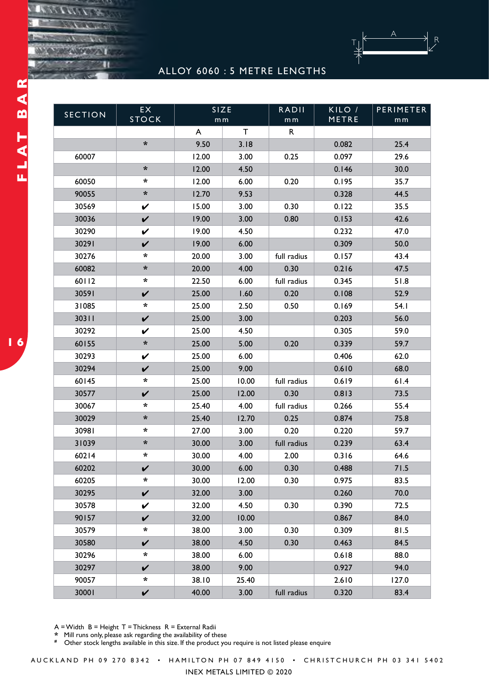

## ALLOY 6060 : 5 METRE LENGTHS

| <b>SECTION</b> | EX                   | SIZE<br>m <sub>m</sub> |             | <b>RADII</b>   | KILO / | PERIMETER      |
|----------------|----------------------|------------------------|-------------|----------------|--------|----------------|
|                | <b>STOCK</b>         |                        |             | m <sub>m</sub> | METRE  | m <sub>m</sub> |
|                |                      | A                      | $\mathsf T$ | R              |        |                |
|                | $\boldsymbol{\star}$ | 9.50                   | 3.18        |                | 0.082  | 25.4           |
| 60007          |                      | 12.00                  | 3.00        | 0.25           | 0.097  | 29.6           |
|                | $\ast$               | 12.00                  | 4.50        |                | 0.146  | 30.0           |
| 60050          | *                    | 12.00                  | 6.00        | 0.20           | 0.195  | 35.7           |
| 90055          | $\boldsymbol{\star}$ | 12.70                  | 9.53        |                | 0.328  | 44.5           |
| 30569          | V                    | 15.00                  | 3.00        | 0.30           | 0.122  | 35.5           |
| 30036          | $\checkmark$         | 19.00                  | 3.00        | 0.80           | 0.153  | 42.6           |
| 30290          | V                    | 19.00                  | 4.50        |                | 0.232  | 47.0           |
| 30291          | $\checkmark$         | 19.00                  | 6.00        |                | 0.309  | 50.0           |
| 30276          | *                    | 20.00                  | 3.00        | full radius    | 0.157  | 43.4           |
| 60082          | *                    | 20.00                  | 4.00        | 0.30           | 0.216  | 47.5           |
| 60112          | $\ast$               | 22.50                  | 6.00        | full radius    | 0.345  | 51.8           |
| 30591          | $\checkmark$         | 25.00                  | 1.60        | 0.20           | 0.108  | 52.9           |
| 31085          | *                    | 25.00                  | 2.50        | 0.50           | 0.169  | 54.1           |
| 30311          | $\checkmark$         | 25.00                  | 3.00        |                | 0.203  | 56.0           |
| 30292          | V                    | 25.00                  | 4.50        |                | 0.305  | 59.0           |
| 60155          | $\boldsymbol{\star}$ | 25.00                  | 5.00        | 0.20           | 0.339  | 59.7           |
| 30293          | V                    | 25.00                  | 6.00        |                | 0.406  | 62.0           |
| 30294          | $\checkmark$         | 25.00                  | 9.00        |                | 0.610  | 68.0           |
| 60145          | $\ast$               | 25.00                  | 10.00       | full radius    | 0.619  | 61.4           |
| 30577          | V                    | 25.00                  | 12.00       | 0.30           | 0.813  | 73.5           |
| 30067          | $\star$              | 25.40                  | 4.00        | full radius    | 0.266  | 55.4           |
| 30029          | $\boldsymbol{\star}$ | 25.40                  | 12.70       | 0.25           | 0.874  | 75.8           |
| 30981          | *                    | 27.00                  | 3.00        | 0.20           | 0.220  | 59.7           |
| 31039          | $\boldsymbol{\star}$ | 30.00                  | 3.00        | full radius    | 0.239  | 63.4           |
| 60214          | $\ast$               | 30.00                  | 4.00        | 2.00           | 0.316  | 64.6           |
| 60202          | V                    | 30.00                  | 6.00        | 0.30           | 0.488  | 71.5           |
| 60205          | *                    | 30.00                  | 12.00       | 0.30           | 0.975  | 83.5           |
| 30295          | $\checkmark$         | 32.00                  | 3.00        |                | 0.260  | 70.0           |
| 30578          | $\checkmark$         | 32.00                  | 4.50        | 0.30           | 0.390  | 72.5           |
| 90157          | V                    | 32.00                  | 10.00       |                | 0.867  | 84.0           |
| 30579          | $\ast$               | 38.00                  | 3.00        | 0.30           | 0.309  | 81.5           |
| 30580          | $\checkmark$         | 38.00                  | 4.50        | 0.30           | 0.463  | 84.5           |
| 30296          | $\ast$               | 38.00                  | 6.00        |                | 0.618  | 88.0           |
| 30297          | $\mathbf v$          | 38.00                  | 9.00        |                | 0.927  | 94.0           |
| 90057          | *                    | 38.10                  | 25.40       |                | 2.610  | 127.0          |
| 30001          | $\checkmark$         | 40.00                  | 3.00        | full radius    | 0.320  | 83.4           |

 $A = W$ idth  $B = Height T = Thickness R = External Radii$ 

**\*** Mill runs only, please ask regarding the availability of these

**#** Other stock lengths available in this size. If the product you require is not listed please enquire

AUCKLAND PH 09 270 8342 • HAMILTON PH 07 849 4150 • CHRISTCHURCH PH 03 341 5402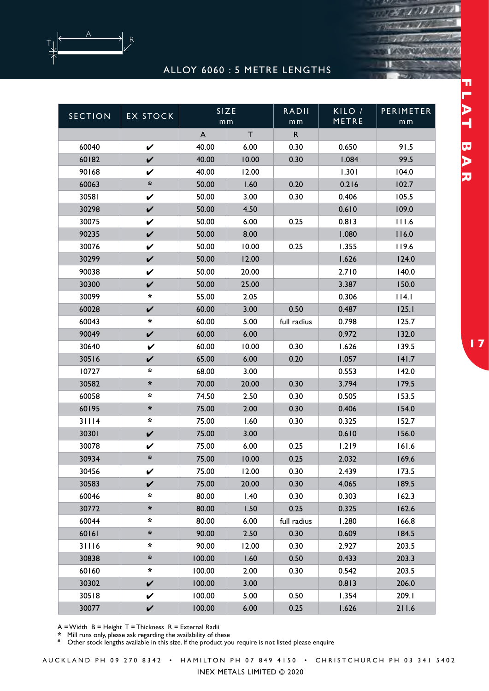

## ALLOY 6060 : 5 METRE LENGTHS

| <b>SECTION</b> | <b>EX STOCK</b>      | SIZE<br>m <sub>m</sub> |              | <b>RADII</b>   | KILO /<br>METRE | <b>PERIMETER</b> |
|----------------|----------------------|------------------------|--------------|----------------|-----------------|------------------|
|                |                      |                        | $\mathsf{T}$ | m <sub>m</sub> |                 | m <sub>m</sub>   |
|                |                      | A                      |              | $\mathsf{R}$   |                 |                  |
| 60040          | $\checkmark$         | 40.00                  | 6.00         | 0.30           | 0.650           | 91.5             |
| 60182          | $\checkmark$         | 40.00                  | 10.00        | 0.30           | 1.084           | 99.5             |
| 90168          | V                    | 40.00                  | 12.00        |                | 1.301           | 104.0            |
| 60063          | *                    | 50.00                  | 1.60         | 0.20           | 0.216           | 102.7            |
| 30581          | V                    | 50.00                  | 3.00         | 0.30           | 0.406           | 105.5            |
| 30298          | $\checkmark$         | 50.00                  | 4.50         |                | 0.610           | 109.0            |
| 30075          | V                    | 50.00                  | 6.00         | 0.25           | 0.813           | 111.6            |
| 90235          | $\checkmark$         | 50.00                  | 8.00         |                | 1.080           | 116.0            |
| 30076          | V                    | 50.00                  | 10.00        | 0.25           | 1.355           | 119.6            |
| 30299          | $\checkmark$         | 50.00                  | 12.00        |                | 1.626           | 124.0            |
| 90038          | V                    | 50.00                  | 20.00        |                | 2.710           | 140.0            |
| 30300          | $\checkmark$         | 50.00                  | 25.00        |                | 3.387           | 150.0            |
| 30099          | $\star$              | 55.00                  | 2.05         |                | 0.306           | 114.1            |
| 60028          | $\mathbf v$          | 60.00                  | 3.00         | 0.50           | 0.487           | 125.1            |
| 60043          | $\ast$               | 60.00                  | 5.00         | full radius    | 0.798           | 125.7            |
| 90049          | $\checkmark$         | 60.00                  | 6.00         |                | 0.972           | 132.0            |
| 30640          | V                    | 60.00                  | 10.00        | 0.30           | 1.626           | 139.5            |
| 30516          | $\checkmark$         | 65.00                  | 6.00         | 0.20           | 1.057           | 141.7            |
| 10727          | $\ast$               | 68.00                  | 3.00         |                | 0.553           | 142.0            |
| 30582          | $\star$              | 70.00                  | 20.00        | 0.30           | 3.794           | 179.5            |
| 60058          | $\ast$               | 74.50                  | 2.50         | 0.30           | 0.505           | 153.5            |
| 60195          | $\boldsymbol{\star}$ | 75.00                  | 2.00         | 0.30           | 0.406           | 154.0            |
| 31114          | $\star$              | 75.00                  | 1.60         | 0.30           | 0.325           | 152.7            |
| 30301          | V                    | 75.00                  | 3.00         |                | 0.610           | 156.0            |
| 30078          | V                    | 75.00                  | 6.00         | 0.25           | 1.219           | 161.6            |
| 30934          | $\ast$               | 75.00                  | 10.00        | 0.25           | 2.032           | 169.6            |
| 30456          | V                    | 75.00                  | 12.00        | 0.30           | 2.439           | 173.5            |
| 30583          | V                    | 75.00                  | 20.00        | 0.30           | 4.065           | 189.5            |
| 60046          | $\star$              | 80.00                  | 1.40         | 0.30           | 0.303           | 162.3            |
| 30772          | *                    | 80.00                  | 1.50         | 0.25           | 0.325           | 162.6            |
| 60044          | $\ast$               | 80.00                  | 6.00         | full radius    | 1.280           | 166.8            |
| 60161          | *                    | 90.00                  | 2.50         | 0.30           | 0.609           | 184.5            |
| 31116          | $\ast$               | 90.00                  | 12.00        | 0.30           | 2.927           | 203.5            |
| 30838          | *                    | 100.00                 | 1.60         | 0.50           | 0.433           | 203.3            |
| 60160          | $\ast$               | 100.00                 | 2.00         | 0.30           | 0.542           | 203.5            |
| 30302          | $\checkmark$         | 100.00                 | 3.00         |                | 0.813           | 206.0            |
| 30518          | V                    | 100.00                 | 5.00         | 0.50           | 1.354           | 209.I            |
| 30077          | $\checkmark$         | 100.00                 | 6.00         | 0.25           | 1.626           | 211.6            |

A = Width B = Height T = Thickness R = External Radii

**\*** Mill runs only, please ask regarding the availability of these

**#** Other stock lengths available in this size. If the product you require is not listed please enquire

FLAT BAR **FLAT BAR DEFINITIONS**

18 1811

A U C K L A N D P H 0 9 2 7 0 8 3 4 2 • H A M I L T ON P H 0 7 8 4 9 4 1 5 0 • C H R I S T C H U R C H P H 0 3 3 4 1 5 4 0 2

INEX METALS LIMITED © 2020